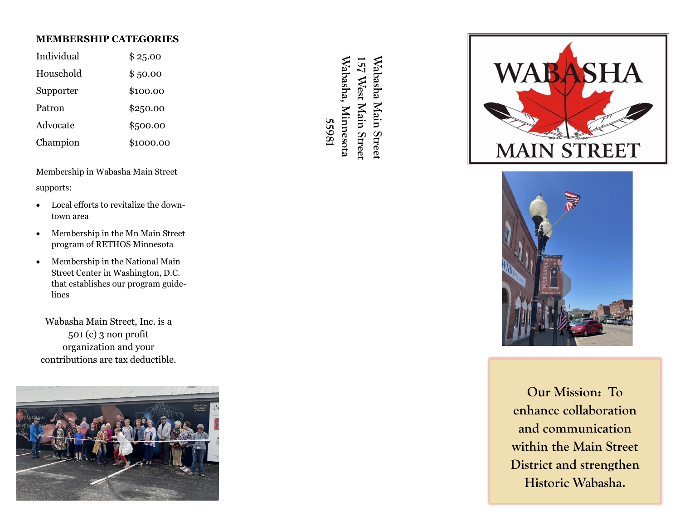## **MEMBERSHIP CATEGORIES**

| Individual | \$25.00   |
|------------|-----------|
| Household  | \$50.00   |
| Supporter  | \$100.00  |
| Patron     | \$250.00  |
| Advocate   | \$500.00  |
| Champion   | \$1000.00 |

Membership in Wabasha Main Street supports:

- Local efforts to revitalize the downtown area
- Membership in the Mn Main Street program of RETHOS Minnesota
- Membership in the National Main Street Center in Washington, D.C. that establishes our program guidelines

Wabasha Main Street, Inc. is a 501 (c) 3 non profit organization and your contributions are tax deductible.



 **55981 Wabasha, Minnesota Wabasha Main Street**  Wabasha, Minnesota 157 West Main Street Wabasha Main Street **157 West Main Street**  55981





**Our Mission: To enhance collaboration and communication within the Main Street District and strengthen Historic Wabasha.**